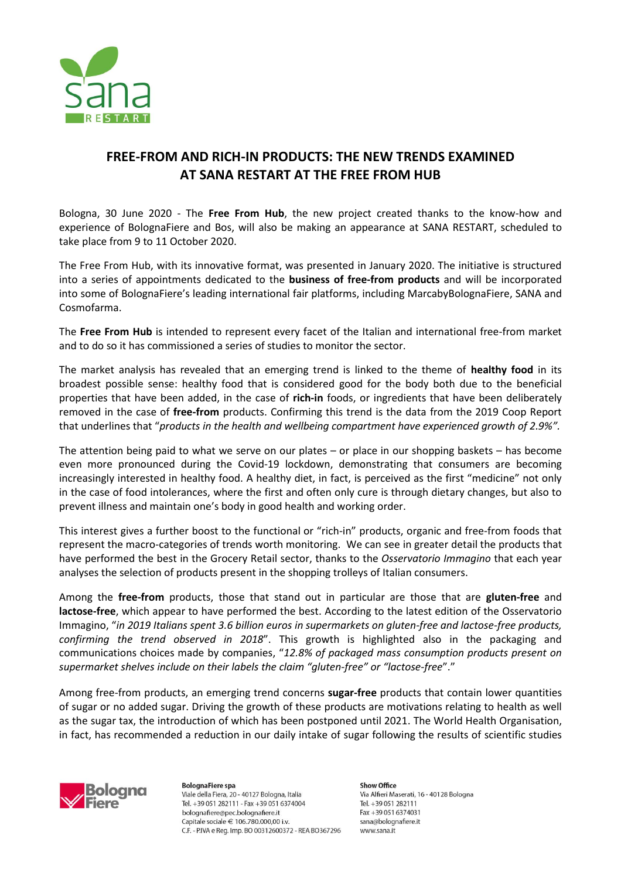

## **FREE-FROM AND RICH-IN PRODUCTS: THE NEW TRENDS EXAMINED AT SANA RESTART AT THE FREE FROM HUB**

Bologna, 30 June 2020 - The **Free From Hub**, the new project created thanks to the know-how and experience of BolognaFiere and Bos, will also be making an appearance at SANA RESTART, scheduled to take place from 9 to 11 October 2020.

The Free From Hub, with its innovative format, was presented in January 2020. The initiative is structured into a series of appointments dedicated to the **business of free-from products** and will be incorporated into some of BolognaFiere's leading international fair platforms, including MarcabyBolognaFiere, SANA and Cosmofarma.

The **Free From Hub** is intended to represent every facet of the Italian and international free-from market and to do so it has commissioned a series of studies to monitor the sector.

The market analysis has revealed that an emerging trend is linked to the theme of **healthy food** in its broadest possible sense: healthy food that is considered good for the body both due to the beneficial properties that have been added, in the case of **rich-in** foods, or ingredients that have been deliberately removed in the case of **free-from** products. Confirming this trend is the data from the 2019 Coop Report that underlines that "*products in the health and wellbeing compartment have experienced growth of 2.9%".*

The attention being paid to what we serve on our plates – or place in our shopping baskets – has become even more pronounced during the Covid-19 lockdown, demonstrating that consumers are becoming increasingly interested in healthy food. A healthy diet, in fact, is perceived as the first "medicine" not only in the case of food intolerances, where the first and often only cure is through dietary changes, but also to prevent illness and maintain one's body in good health and working order.

This interest gives a further boost to the functional or "rich-in" products, organic and free-from foods that represent the macro-categories of trends worth monitoring. We can see in greater detail the products that have performed the best in the Grocery Retail sector, thanks to the *Osservatorio Immagino* that each year analyses the selection of products present in the shopping trolleys of Italian consumers.

Among the **free-from** products, those that stand out in particular are those that are **gluten-free** and **lactose-free**, which appear to have performed the best. According to the latest edition of the Osservatorio Immagino, "*in 2019 Italians spent 3.6 billion euros in supermarkets on gluten-free and lactose-free products, confirming the trend observed in 2018*". This growth is highlighted also in the packaging and communications choices made by companies, "*12.8% of packaged mass consumption products present on supermarket shelves include on their labels the claim "gluten-free" or "lactose-free*"."

Among free-from products, an emerging trend concerns **sugar-free** products that contain lower quantities of sugar or no added sugar. Driving the growth of these products are motivations relating to health as well as the sugar tax, the introduction of which has been postponed until 2021. The World Health Organisation, in fact, has recommended a reduction in our daily intake of sugar following the results of scientific studies



**BolognaFiere spa** Viale della Fiera, 20 - 40127 Bologna, Italia Tel. +39 051 282111 - Fax +39 051 6374004 bolognafiere@pec.bolognafiere.it Capitale sociale € 106.780.000.00 i.v. C.F. - P.IVA e Reg. Imp. BO 00312600372 - REA BO367296

**Show Office** Via Alfieri Maserati, 16 - 40128 Bologna Tel. +39 051 282111 Fax +39 051 6374031 sana@bolognafiere.it www.sana.it